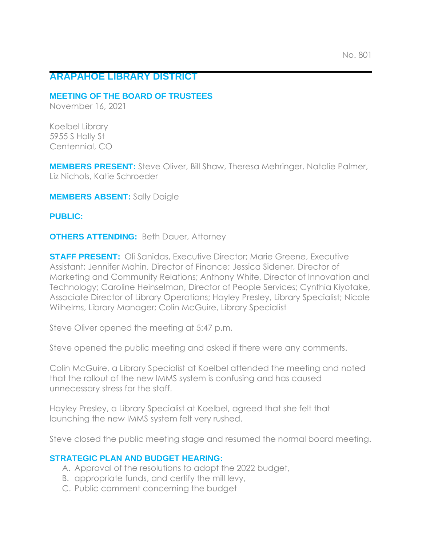## **ARAPAHOE LIBRARY DISTRICT**

#### **MEETING OF THE BOARD OF TRUSTEES**

November 16, 2021

Koelbel Library 5955 S Holly St Centennial, CO

**MEMBERS PRESENT:** Steve Oliver, Bill Shaw, Theresa Mehringer, Natalie Palmer, Liz Nichols, Katie Schroeder

**MEMBERS ABSENT:** Sally Daigle

#### **PUBLIC:**

**OTHERS ATTENDING:** Beth Dauer, Attorney

**STAFF PRESENT:** Oli Sanidas, Executive Director; Marie Greene, Executive Assistant; Jennifer Mahin, Director of Finance; Jessica Sidener, Director of Marketing and Community Relations; Anthony White, Director of Innovation and Technology; Caroline Heinselman, Director of People Services; Cynthia Kiyotake, Associate Director of Library Operations; Hayley Presley, Library Specialist; Nicole Wilhelms, Library Manager; Colin McGuire, Library Specialist

Steve Oliver opened the meeting at 5:47 p.m.

Steve opened the public meeting and asked if there were any comments.

Colin McGuire, a Library Specialist at Koelbel attended the meeting and noted that the rollout of the new IMMS system is confusing and has caused unnecessary stress for the staff.

Hayley Presley, a Library Specialist at Koelbel, agreed that she felt that launching the new IMMS system felt very rushed.

Steve closed the public meeting stage and resumed the normal board meeting.

#### **STRATEGIC PLAN AND BUDGET HEARING:**

- A. Approval of the resolutions to adopt the 2022 budget,
- B. appropriate funds, and certify the mill levy,
- C. Public comment concerning the budget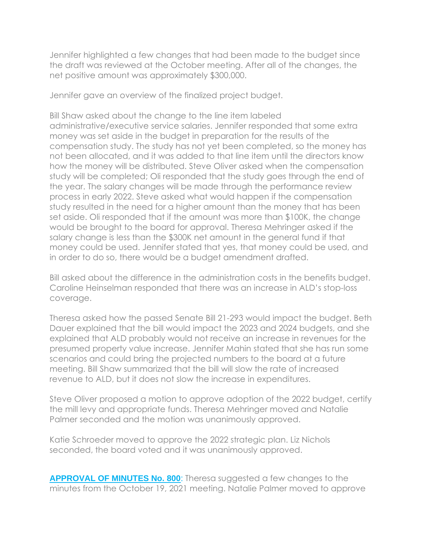Jennifer highlighted a few changes that had been made to the budget since the draft was reviewed at the October meeting. After all of the changes, the net positive amount was approximately \$300,000.

Jennifer gave an overview of the finalized project budget.

Bill Shaw asked about the change to the line item labeled administrative/executive service salaries. Jennifer responded that some extra money was set aside in the budget in preparation for the results of the compensation study. The study has not yet been completed, so the money has not been allocated, and it was added to that line item until the directors know how the money will be distributed. Steve Oliver asked when the compensation study will be completed; Oli responded that the study goes through the end of the year. The salary changes will be made through the performance review process in early 2022. Steve asked what would happen if the compensation study resulted in the need for a higher amount than the money that has been set aside. Oli responded that if the amount was more than \$100K, the change would be brought to the board for approval. Theresa Mehringer asked if the salary change is less than the \$300K net amount in the general fund if that money could be used. Jennifer stated that yes, that money could be used, and in order to do so, there would be a budget amendment drafted.

Bill asked about the difference in the administration costs in the benefits budget. Caroline Heinselman responded that there was an increase in ALD's stop-loss coverage.

Theresa asked how the passed Senate Bill 21-293 would impact the budget. Beth Dauer explained that the bill would impact the 2023 and 2024 budgets, and she explained that ALD probably would not receive an increase in revenues for the presumed property value increase. Jennifer Mahin stated that she has run some scenarios and could bring the projected numbers to the board at a future meeting. Bill Shaw summarized that the bill will slow the rate of increased revenue to ALD, but it does not slow the increase in expenditures.

Steve Oliver proposed a motion to approve adoption of the 2022 budget, certify the mill levy and appropriate funds. Theresa Mehringer moved and Natalie Palmer seconded and the motion was unanimously approved.

Katie Schroeder moved to approve the 2022 strategic plan. Liz Nichols seconded, the board voted and it was unanimously approved.

**APPROVAL OF MINUTES No. 800**: Theresa suggested a few changes to the minutes from the October 19, 2021 meeting. Natalie Palmer moved to approve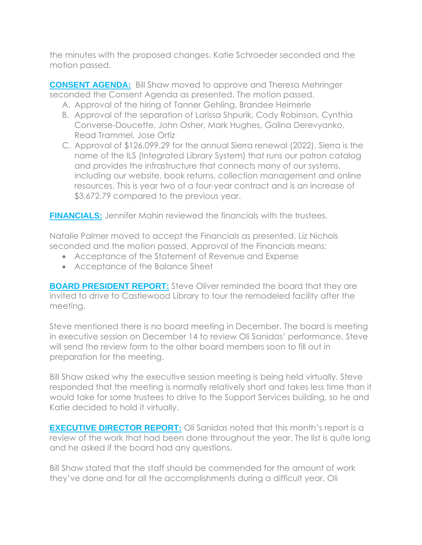the minutes with the proposed changes. Katie Schroeder seconded and the motion passed.

**CONSENT AGENDA:** Bill Shaw moved to approve and Theresa Mehringer seconded the Consent Agenda as presented. The motion passed.

- A. Approval of the hiring of Tanner Gehling, Brandee Heimerle
- B. Approval of the separation of Larissa Shpurik, Cody Robinson, Cynthia Converse-Doucette, John Osher, Mark Hughes, Galina Derevyanko, Read Trammel, Jose Ortiz
- C. Approval of \$126,099.29 for the annual Sierra renewal (2022). Sierra is the name of the ILS (Integrated Library System) that runs our patron catalog and provides the infrastructure that connects many of our systems, including our website, book returns, collection management and online resources. This is year two of a four-year contract and is an increase of \$3,672.79 compared to the previous year.

**FINANCIALS:** Jennifer Mahin reviewed the financials with the trustees.

Natalie Palmer moved to accept the Financials as presented. Liz Nichols seconded and the motion passed. Approval of the Financials means:

- Acceptance of the Statement of Revenue and Expense
- Acceptance of the Balance Sheet

**BOARD PRESIDENT REPORT:** Steve Oliver reminded the board that they are invited to drive to Castlewood Library to tour the remodeled facility after the meeting.

Steve mentioned there is no board meeting in December. The board is meeting in executive session on December 14 to review Oli Sanidas' performance. Steve will send the review form to the other board members soon to fill out in preparation for the meeting.

Bill Shaw asked why the executive session meeting is being held virtually. Steve responded that the meeting is normally relatively short and takes less time than it would take for some trustees to drive to the Support Services building, so he and Katie decided to hold it virtually.

**EXECUTIVE DIRECTOR REPORT:** Oli Sanidas noted that this month's report is a review of the work that had been done throughout the year. The list is quite long and he asked if the board had any questions.

Bill Shaw stated that the staff should be commended for the amount of work they've done and for all the accomplishments during a difficult year. Oli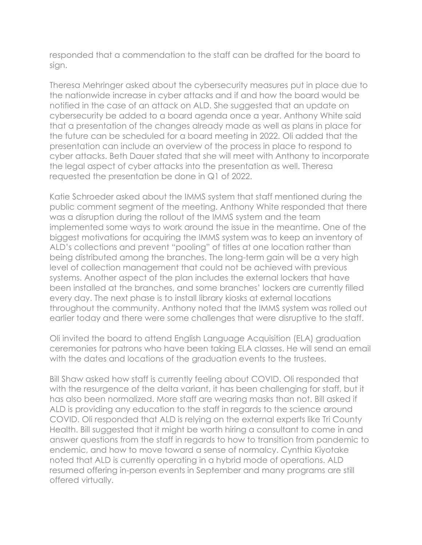responded that a commendation to the staff can be drafted for the board to sign.

Theresa Mehringer asked about the cybersecurity measures put in place due to the nationwide increase in cyber attacks and if and how the board would be notified in the case of an attack on ALD. She suggested that an update on cybersecurity be added to a board agenda once a year. Anthony White said that a presentation of the changes already made as well as plans in place for the future can be scheduled for a board meeting in 2022. Oli added that the presentation can include an overview of the process in place to respond to cyber attacks. Beth Dauer stated that she will meet with Anthony to incorporate the legal aspect of cyber attacks into the presentation as well. Theresa requested the presentation be done in Q1 of 2022.

Katie Schroeder asked about the IMMS system that staff mentioned during the public comment segment of the meeting. Anthony White responded that there was a disruption during the rollout of the IMMS system and the team implemented some ways to work around the issue in the meantime. One of the biggest motivations for acquiring the IMMS system was to keep an inventory of ALD's collections and prevent "pooling" of titles at one location rather than being distributed among the branches. The long-term gain will be a very high level of collection management that could not be achieved with previous systems. Another aspect of the plan includes the external lockers that have been installed at the branches, and some branches' lockers are currently filled every day. The next phase is to install library kiosks at external locations throughout the community. Anthony noted that the IMMS system was rolled out earlier today and there were some challenges that were disruptive to the staff.

Oli invited the board to attend English Language Acquisition (ELA) graduation ceremonies for patrons who have been taking ELA classes. He will send an email with the dates and locations of the graduation events to the trustees.

Bill Shaw asked how staff is currently feeling about COVID. Oli responded that with the resurgence of the delta variant, it has been challenging for staff, but it has also been normalized. More staff are wearing masks than not. Bill asked if ALD is providing any education to the staff in regards to the science around COVID. Oli responded that ALD is relying on the external experts like Tri County Health. Bill suggested that it might be worth hiring a consultant to come in and answer questions from the staff in regards to how to transition from pandemic to endemic, and how to move toward a sense of normalcy. Cynthia Kiyotake noted that ALD is currently operating in a hybrid mode of operations. ALD resumed offering in-person events in September and many programs are still offered virtually.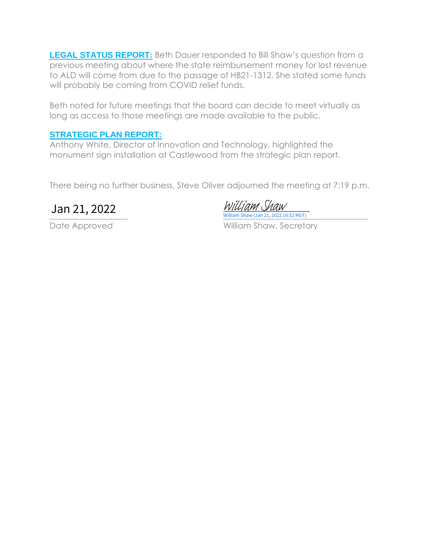**LEGAL STATUS REPORT:** Beth Dauer responded to Bill Shaw's question from a previous meeting about where the state reimbursement money for lost revenue to ALD will come from due to the passage of HB21-1312. She stated some funds will probably be coming from COVID relief funds.

Beth noted for future meetings that the board can decide to meet virtually as long as access to those meetings are made available to the public.

### **STRATEGIC PLAN REPORT:**

Anthony White, Director of Innovation and Technology, highlighted the monument sign installation at Castlewood from the strategic plan report.

There being no further business, Steve Oliver adjourned the meeting at 7:19 p.m.

 $U$ illiam Shaw (Jan 21, 2022 16:52 MST) **Jan 21, 2022** *William Shaw* 

Date Approved William Shaw, Secretary